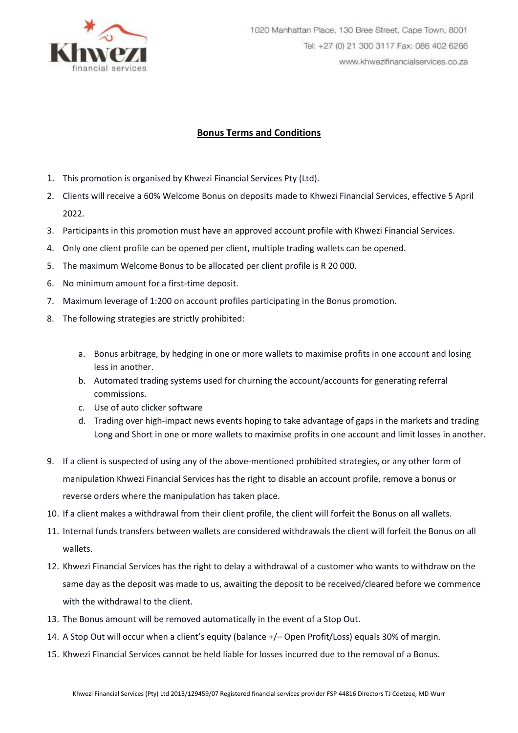

## **Bonus Terms and Conditions**

- 1. This promotion is organised by Khwezi Financial Services Pty (Ltd).
- 2. Clients will receive a 60% Welcome Bonus on deposits made to Khwezi Financial Services, effective 5 April 2022.
- 3. Participants in this promotion must have an approved account profile with Khwezi Financial Services.
- 4. Only one client profile can be opened per client, multiple trading wallets can be opened.
- 5. The maximum Welcome Bonus to be allocated per client profile is R 20 000.
- 6. No minimum amount for a first-time deposit.
- 7. Maximum leverage of 1:200 on account profiles participating in the Bonus promotion.
- 8. The following strategies are strictly prohibited:
	- a. Bonus arbitrage, by hedging in one or more wallets to maximise profits in one account and losing less in another.
	- b. Automated trading systems used for churning the account/accounts for generating referral commissions.
	- c. Use of auto clicker software
	- d. Trading over high-impact news events hoping to take advantage of gaps in the markets and trading Long and Short in one or more wallets to maximise profits in one account and limit losses in another.
- 9. If a client is suspected of using any of the above-mentioned prohibited strategies, or any other form of manipulation Khwezi Financial Services has the right to disable an account profile, remove a bonus or reverse orders where the manipulation has taken place.
- 10. If a client makes a withdrawal from their client profile, the client will forfeit the Bonus on all wallets.
- 11. Internal funds transfers between wallets are considered withdrawals the client will forfeit the Bonus on all wallets.
- 12. Khwezi Financial Services has the right to delay a withdrawal of a customer who wants to withdraw on the same day as the deposit was made to us, awaiting the deposit to be received/cleared before we commence with the withdrawal to the client.
- 13. The Bonus amount will be removed automatically in the event of a Stop Out.
- 14. A Stop Out will occur when a client's equity (balance +/– Open Profit/Loss) equals 30% of margin.
- 15. Khwezi Financial Services cannot be held liable for losses incurred due to the removal of a Bonus.